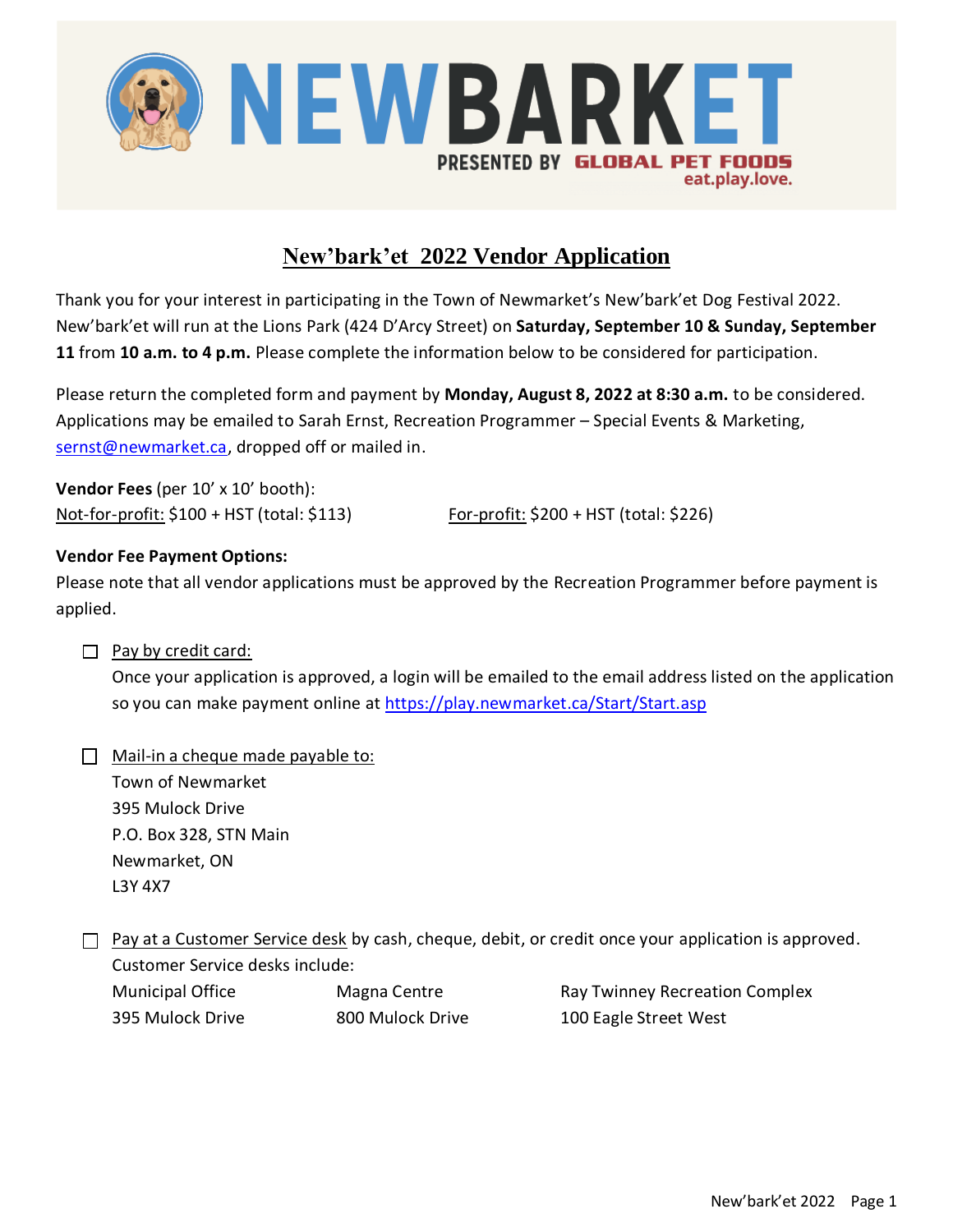

## **New'bark'et 2022 Vendor Application**

Thank you for your interest in participating in the Town of Newmarket's New'bark'et Dog Festival 2022. New'bark'et will run at the Lions Park (424 D'Arcy Street) on **Saturday, September 10 & Sunday, September 11** from **10 a.m. to 4 p.m.** Please complete the information below to be considered for participation.

Please return the completed form and payment by **Monday, August 8, 2022 at 8:30 a.m.** to be considered. Applications may be emailed to Sarah Ernst, Recreation Programmer – Special Events & Marketing, [sernst@newmarket.ca,](mailto:sernst@newmarket.ca) dropped off or mailed in.

**Vendor Fees** (per 10' x 10' booth): Not-for-profit: \$100 + HST (total: \$113) For-profit: \$200 + HST (total: \$226)

#### **Vendor Fee Payment Options:**

Please note that all vendor applications must be approved by the Recreation Programmer before payment is applied.

#### $\Box$  Pay by credit card:

Once your application is approved, a login will be emailed to the email address listed on the application so you can make payment online at<https://play.newmarket.ca/Start/Start.asp>

| Mail-in a cheque made payable to: |
|-----------------------------------|
| Town of Newmarket                 |
| 395 Mulock Drive                  |
| P.O. Box 328, STN Main            |
| Newmarket, ON                     |
| L3Y 4X7                           |

 $\Box$  Pay at a Customer Service desk by cash, cheque, debit, or credit once your application is approved. Customer Service desks include:

| Municipal Office | Magna Centre    |
|------------------|-----------------|
| 395 Mulock Drive | 800 Mulock Driv |

Ray Twinney Recreation Complex e 300 Eagle Street West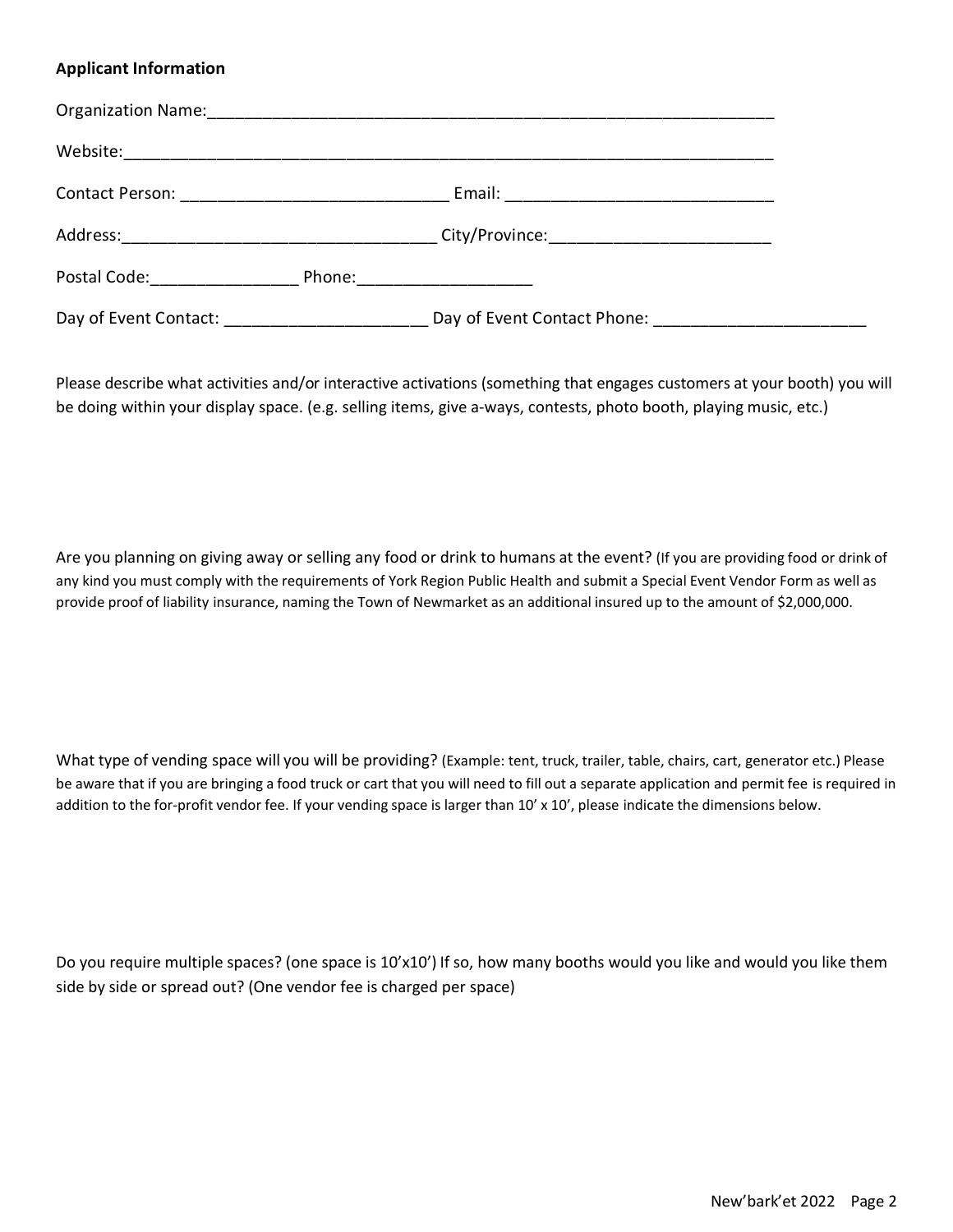#### **Applicant Information**

| Postal Code: <u>__________</u>                    | Phone:___________________ |  |
|---------------------------------------------------|---------------------------|--|
| Day of Event Contact: ___________________________ |                           |  |

Please describe what activities and/or interactive activations (something that engages customers at your booth) you will be doing within your display space. (e.g. selling items, give a-ways, contests, photo booth, playing music, etc.)

Are you planning on giving away or selling any food or drink to humans at the event? (If you are providing food or drink of any kind you must comply with the requirements of York Region Public Health and submit a Special Event Vendor Form as well as provide proof of liability insurance, naming the Town of Newmarket as an additional insured up to the amount of \$2,000,000.

What type of vending space will you will be providing? (Example: tent, truck, trailer, table, chairs, cart, generator etc.) Please be aware that if you are bringing a food truck or cart that you will need to fill out a separate application and permit fee is required in addition to the for-profit vendor fee. If your vending space is larger than 10' x 10', please indicate the dimensions below.

Do you require multiple spaces? (one space is 10'x10') If so, how many booths would you like and would you like them side by side or spread out? (One vendor fee is charged per space)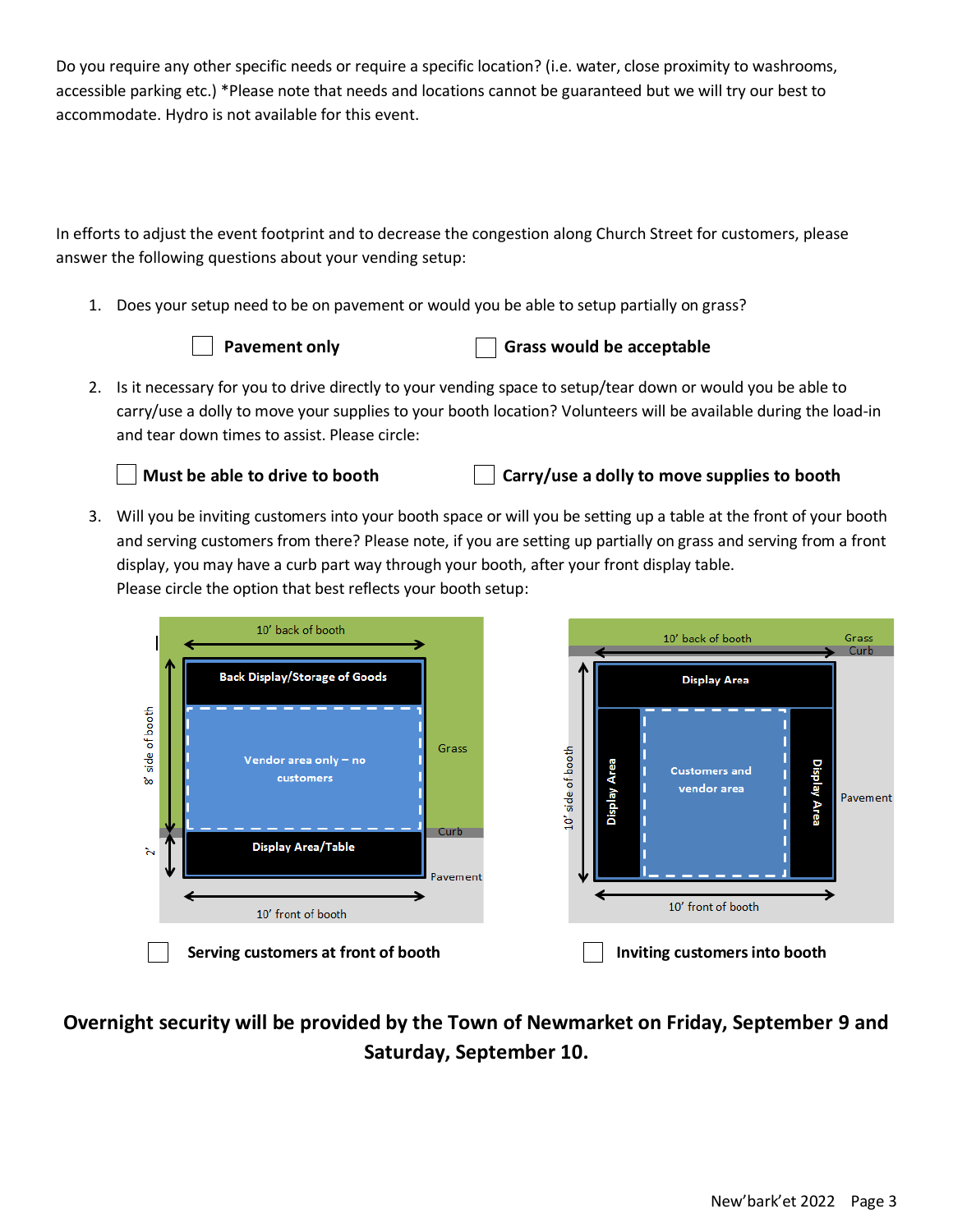Do you require any other specific needs or require a specific location? (i.e. water, close proximity to washrooms, accessible parking etc.) \*Please note that needs and locations cannot be guaranteed but we will try our best to accommodate. Hydro is not available for this event.

In efforts to adjust the event footprint and to decrease the congestion along Church Street for customers, please answer the following questions about your vending setup:

1. Does your setup need to be on pavement or would you be able to setup partially on grass?



#### **Pavement only Grass would be acceptable**

2. Is it necessary for you to drive directly to your vending space to setup/tear down or would you be able to carry/use a dolly to move your supplies to your booth location? Volunteers will be available during the load-in and tear down times to assist. Please circle:



### **Must be able to drive to booth Carry/use a dolly to move supplies to booth**

3. Will you be inviting customers into your booth space or will you be setting up a table at the front of your booth and serving customers from there? Please note, if you are setting up partially on grass and serving from a front display, you may have a curb part way through your booth, after your front display table. Please circle the option that best reflects your booth setup:





10' back of booth

**Display Area** 

Grass Curb

# **Overnight security will be provided by the Town of Newmarket on Friday, September 9 and Saturday, September 10.**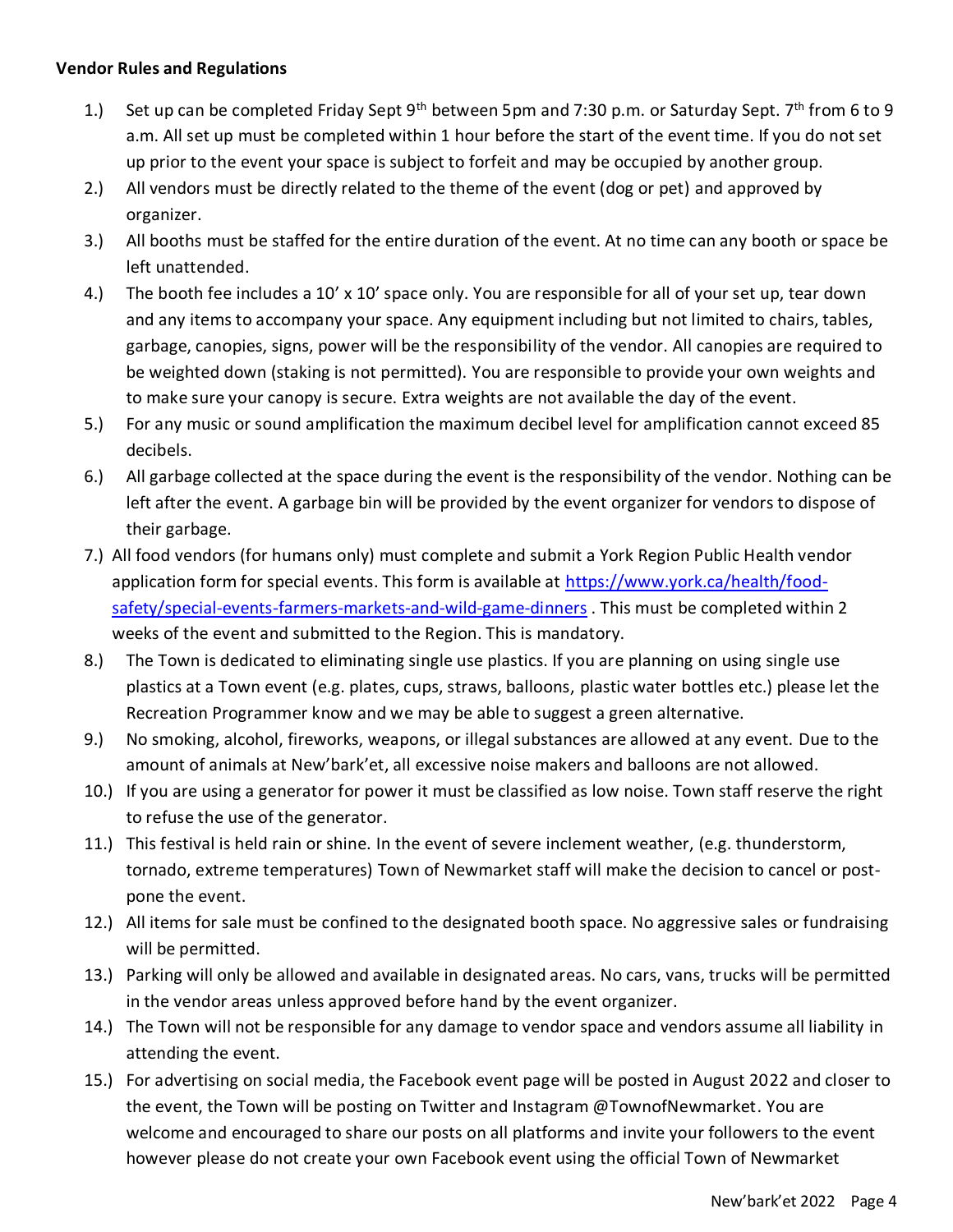#### **Vendor Rules and Regulations**

- 1.) Set up can be completed Friday Sept 9<sup>th</sup> between 5pm and 7:30 p.m. or Saturday Sept. 7<sup>th</sup> from 6 to 9 a.m. All set up must be completed within 1 hour before the start of the event time. If you do not set up prior to the event your space is subject to forfeit and may be occupied by another group.
- 2.) All vendors must be directly related to the theme of the event (dog or pet) and approved by organizer.
- 3.) All booths must be staffed for the entire duration of the event. At no time can any booth or space be left unattended.
- 4.) The booth fee includes a 10' x 10' space only. You are responsible for all of your set up, tear down and any items to accompany your space. Any equipment including but not limited to chairs, tables, garbage, canopies, signs, power will be the responsibility of the vendor. All canopies are required to be weighted down (staking is not permitted). You are responsible to provide your own weights and to make sure your canopy is secure. Extra weights are not available the day of the event.
- 5.) For any music or sound amplification the maximum decibel level for amplification cannot exceed 85 decibels.
- 6.) All garbage collected at the space during the event is the responsibility of the vendor. Nothing can be left after the event. A garbage bin will be provided by the event organizer for vendors to dispose of their garbage.
- 7.) All food vendors (for humans only) must complete and submit a York Region Public Health vendor application form for special events. This form is available at [https://www.york.ca/health/food](https://www.york.ca/health/food-safety/special-events-farmers-markets-and-wild-game-dinners)[safety/special-events-farmers-markets-and-wild-game-dinners](https://www.york.ca/health/food-safety/special-events-farmers-markets-and-wild-game-dinners) . This must be completed within 2 weeks of the event and submitted to the Region. This is mandatory.
- 8.) The Town is dedicated to eliminating single use plastics. If you are planning on using single use plastics at a Town event (e.g. plates, cups, straws, balloons, plastic water bottles etc.) please let the Recreation Programmer know and we may be able to suggest a green alternative.
- 9.) No smoking, alcohol, fireworks, weapons, or illegal substances are allowed at any event. Due to the amount of animals at New'bark'et, all excessive noise makers and balloons are not allowed.
- 10.) If you are using a generator for power it must be classified as low noise. Town staff reserve the right to refuse the use of the generator.
- 11.) This festival is held rain or shine. In the event of severe inclement weather, (e.g. thunderstorm, tornado, extreme temperatures) Town of Newmarket staff will make the decision to cancel or postpone the event.
- 12.) All items for sale must be confined to the designated booth space. No aggressive sales or fundraising will be permitted.
- 13.) Parking will only be allowed and available in designated areas. No cars, vans, trucks will be permitted in the vendor areas unless approved before hand by the event organizer.
- 14.) The Town will not be responsible for any damage to vendor space and vendors assume all liability in attending the event.
- 15.) For advertising on social media, the Facebook event page will be posted in August 2022 and closer to the event, the Town will be posting on Twitter and Instagram @TownofNewmarket. You are welcome and encouraged to share our posts on all platforms and invite your followers to the event however please do not create your own Facebook event using the official Town of Newmarket